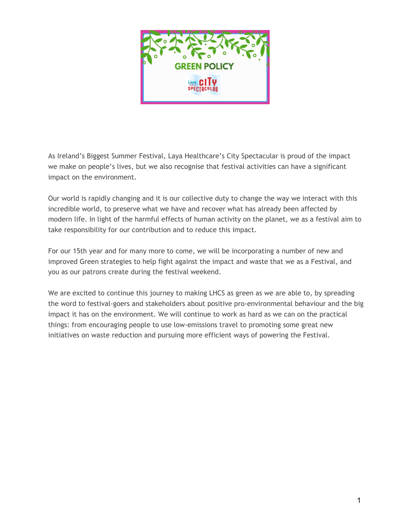

As Ireland's Biggest Summer Festival, Laya Healthcare's City Spectacular is proud of the impact we make on people's lives, but we also recognise that festival activities can have a significant impact on the environment.

Our world is rapidly changing and it is our collective duty to change the way we interact with this incredible world, to preserve what we have and recover what has already been affected by modern life. In light of the harmful effects of human activity on the planet, we as a festival aim to take responsibility for our contribution and to reduce this impact.

For our 15th year and for many more to come, we will be incorporating a number of new and improved Green strategies to help fight against the impact and waste that we as a Festival, and you as our patrons create during the festival weekend.

We are excited to continue this journey to making LHCS as green as we are able to, by spreading the word to festival-goers and stakeholders about positive pro-environmental behaviour and the big impact it has on the environment. We will continue to work as hard as we can on the practical things: from encouraging people to use low-emissions travel to promoting some great new initiatives on waste reduction and pursuing more efficient ways of powering the Festival.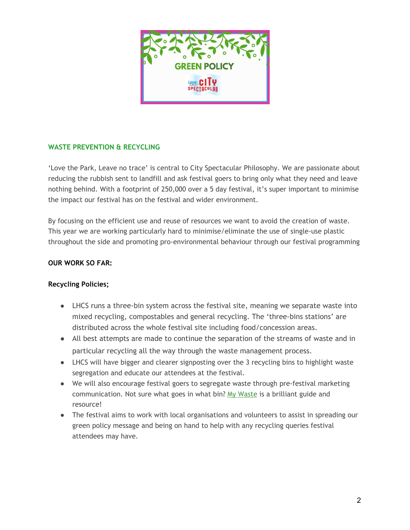

## **WASTE PREVENTION & RECYCLING**

'Love the Park, Leave no trace' is central to City Spectacular Philosophy. We are passionate about reducing the rubbish sent to landfill and ask festival goers to bring only what they need and leave nothing behind. With a footprint of 250,000 over a 5 day festival, it's super important to minimise the impact our festival has on the festival and wider environment.

By focusing on the efficient use and reuse of resources we want to avoid the creation of waste. This year we are working particularly hard to minimise/eliminate the use of single-use plastic throughout the side and promoting pro-environmental behaviour through our festival programming

### **OUR WORK SO FAR:**

### **Recycling Policies;**

- LHCS runs a three-bin system across the festival site, meaning we separate waste into mixed recycling, compostables and general recycling. The 'three-bins stations' are distributed across the whole festival site including food/concession areas.
- All best attempts are made to continue the separation of the streams of waste and in particular recycling all the way through the waste management process.
- LHCS will have bigger and clearer signposting over the 3 recycling bins to highlight waste segregation and educate our attendees at the festival.
- We will also encourage festival goers to segregate waste through pre-festival marketing communication. Not sure what goes in what bin? [My Waste](https://www.mywaste.ie/) is a brilliant guide and resource!
- The festival aims to work with local organisations and volunteers to assist in spreading our green policy message and being on hand to help with any recycling queries festival attendees may have.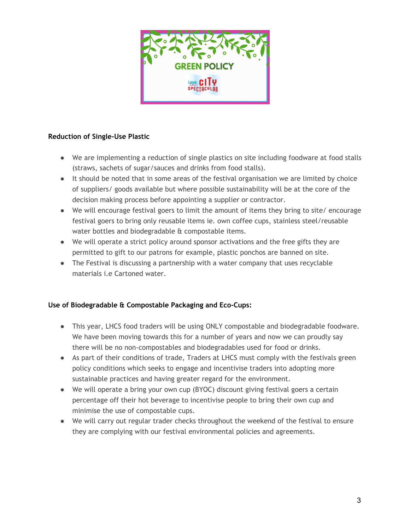

## **Reduction of Single-Use Plastic**

- We are implementing a reduction of single plastics on site including foodware at food stalls (straws, sachets of sugar/sauces and drinks from food stalls).
- It should be noted that in some areas of the festival organisation we are limited by choice of suppliers/ goods available but where possible sustainability will be at the core of the decision making process before appointing a supplier or contractor.
- We will encourage festival goers to limit the amount of items they bring to site/ encourage festival goers to bring only reusable items ie. own coffee cups, stainless steel/reusable water bottles and biodegradable & compostable items.
- We will operate a strict policy around sponsor activations and the free gifts they are permitted to gift to our patrons for example, plastic ponchos are banned on site.
- The Festival is discussing a partnership with a water company that uses recyclable materials i.e Cartoned water.

# **Use of Biodegradable & Compostable Packaging and Eco-Cups:**

- This year, LHCS food traders will be using ONLY compostable and biodegradable foodware. We have been moving towards this for a number of years and now we can proudly say there will be no non-compostables and biodegradables used for food or drinks.
- As part of their conditions of trade, Traders at LHCS must comply with the festivals green policy conditions which seeks to engage and incentivise traders into adopting more sustainable practices and having greater regard for the environment.
- We will operate a bring your own cup (BYOC) discount giving festival goers a certain percentage off their hot beverage to incentivise people to bring their own cup and minimise the use of compostable cups.
- We will carry out regular trader checks throughout the weekend of the festival to ensure they are complying with our festival environmental policies and agreements.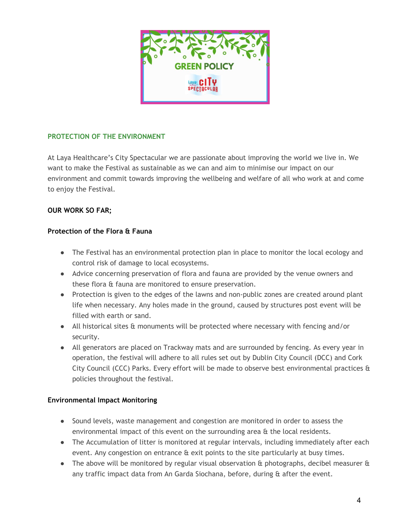

## **PROTECTION OF THE ENVIRONMENT**

At Laya Healthcare's City Spectacular we are passionate about improving the world we live in. We want to make the Festival as sustainable as we can and aim to minimise our impact on our environment and commit towards improving the wellbeing and welfare of all who work at and come to enjoy the Festival.

# **OUR WORK SO FAR;**

## **Protection of the Flora & Fauna**

- The Festival has an environmental protection plan in place to monitor the local ecology and control risk of damage to local ecosystems.
- Advice concerning preservation of flora and fauna are provided by the venue owners and these flora & fauna are monitored to ensure preservation.
- Protection is given to the edges of the lawns and non-public zones are created around plant life when necessary. Any holes made in the ground, caused by structures post event will be filled with earth or sand.
- All historical sites & monuments will be protected where necessary with fencing and/or security.
- All generators are placed on Trackway mats and are surrounded by fencing. As every year in operation, the festival will adhere to all rules set out by Dublin City Council (DCC) and Cork City Council (CCC) Parks. Every effort will be made to observe best environmental practices & policies throughout the festival.

### **Environmental Impact Monitoring**

- Sound levels, waste management and congestion are monitored in order to assess the environmental impact of this event on the surrounding area & the local residents.
- The Accumulation of litter is monitored at regular intervals, including immediately after each event. Any congestion on entrance & exit points to the site particularly at busy times.
- The above will be monitored by regular visual observation & photographs, decibel measurer & any traffic impact data from An Garda Siochana, before, during & after the event.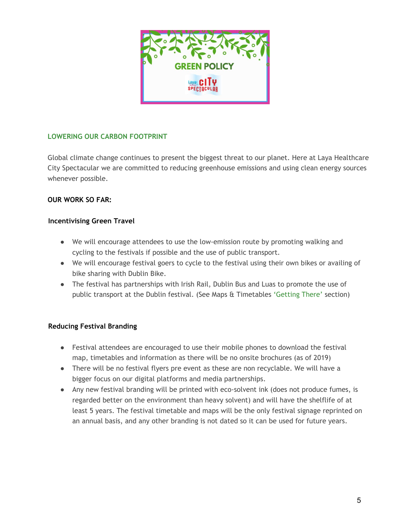

# **LOWERING OUR CARBON FOOTPRINT**

Global climate change continues to present the biggest threat to our planet. Here at Laya Healthcare City Spectacular we are committed to reducing greenhouse emissions and using clean energy sources whenever possible.

### **OUR WORK SO FAR:**

### **Incentivising Green Travel**

- We will encourage attendees to use the low-emission route by promoting walking and cycling to the festivals if possible and the use of public transport.
- We will encourage festival goers to cycle to the festival using their own bikes or availing of bike sharing with Dublin Bike.
- The festival has partnerships with Irish Rail, Dublin Bus and Luas to promote the use of public transport at the Dublin festival. (See Maps & Timetables ['Getting There'](https://www.cityspectacular.com/maps) section)

### **Reducing Festival Branding**

- Festival attendees are encouraged to use their mobile phones to download the festival map, timetables and information as there will be no onsite brochures (as of 2019)
- There will be no festival flyers pre event as these are non recyclable. We will have a bigger focus on our digital platforms and media partnerships.
- Any new festival branding will be printed with eco-solvent ink (does not produce fumes, is regarded better on the environment than heavy solvent) and will have the shelflife of at least 5 years. The festival timetable and maps will be the only festival signage reprinted on an annual basis, and any other branding is not dated so it can be used for future years.